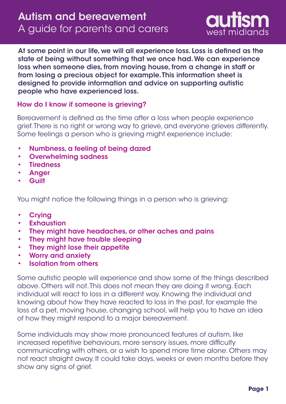

At some point in our life, we will all experience loss. Loss is defined as the state of being without something that we once had. We can experience loss when someone dies, from moving house, from a change in staff or from losing a precious object for example. This information sheet is designed to provide information and advice on supporting autistic people who have experienced loss.

## How do I know if someone is grieving?

Bereavement is defined as the time after a loss when people experience grief. There is no right or wrong way to grieve, and everyone grieves differently. Some feelings a person who is grieving might experience include:

- Numbness, a feeling of being dazed •
- Overwhelming sadness •
- **Tiredness** •
- Anger •
- **Guilt** •

You might notice the following things in a person who is grieving:

- **Crying** •
- **Exhaustion** •
- They might have headaches, or other aches and pains •
- They might have trouble sleeping •
- They might lose their appetite •
- Worry and anxiety •
- Isolation from others •

Some autistic people will experience and show some of the things described above. Others will not. This does not mean they are doing it wrong. Each individual will react to loss in a different way. Knowing the individual and knowing about how they have reacted to loss in the past, for example the loss of a pet, moving house, changing school, will help you to have an idea of how they might respond to a major bereavement.

Some individuals may show more pronounced features of autism, like increased repetitive behaviours, more sensory issues, more difficulty communicating with others, or a wish to spend more time alone. Others may not react straight away. It could take days, weeks or even months before they show any signs of grief.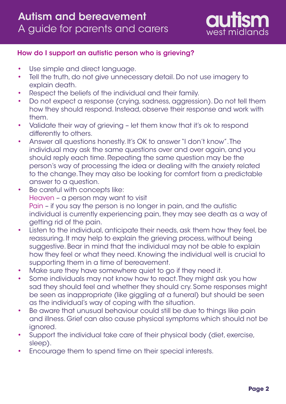

## How do I support an autistic person who is grieving?

- Use simple and direct language. •
- Tell the truth, do not give unnecessary detail. Do not use imagery to explain death. •
- Respect the beliefs of the individual and their family. •
- Do not expect a response (crying, sadness, aggression). Do not tell them how they should respond. Instead, observe their response and work with them. •
- Validate their way of grieving let them know that it's ok to respond differently to others. •
- Answer all questions honestly. It's OK to answer "I don't know". The individual may ask the same questions over and over again, and you should reply each time. Repeating the same question may be the person's way of processing the idea or dealing with the anxiety related to the change. They may also be looking for comfort from a predictable answer to a question. •
- Be careful with concepts like: Heaven – a person may want to visit Pain – if you say the person is no longer in pain, and the autistic individual is currently experiencing pain, they may see death as a way of getting rid of the pain. •
- Listen to the individual, anticipate their needs, ask them how they feel, be reassuring. It may help to explain the grieving process, without being suggestive. Bear in mind that the individual may not be able to explain how they feel or what they need. Knowing the individual well is crucial to supporting them in a time of bereavement. •
- Make sure they have somewhere quiet to go if they need it. •
- Some individuals may not know how to react. They might ask you how sad they should feel and whether they should cry. Some responses might be seen as inappropriate (like giggling at a funeral) but should be seen as the individual's way of coping with the situation. •
- Be aware that unusual behaviour could still be due to things like pain and illness. Grief can also cause physical symptoms which should not be ignored. •
- Support the individual take care of their physical body (diet, exercise, sleep). •
- Encourage them to spend time on their special interests. •